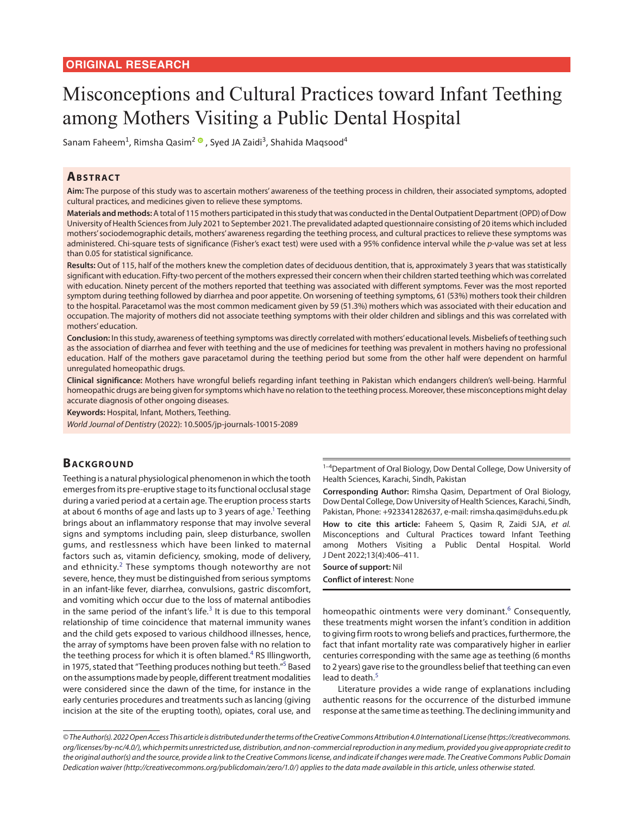# Misconceptions and Cultural Practices toward Infant Teething among Mothers Visiting a Public Dental Hospital

Sanam Faheem $^1$ [,](https://orcid.org/0000-0002-1045-8272) Rimsha Qasim $^2$   $^{\circ}$  , Syed JA Zaidi $^3$ , Shahida Maqsood $^4$ 

## **ABSTRACT**

**Aim:** The purpose of this study was to ascertain mothers' awareness of the teething process in children, their associated symptoms, adopted cultural practices, and medicines given to relieve these symptoms.

**Materials and methods:** A total of 115 mothers participated in this study that was conducted in the Dental Outpatient Department (OPD) of Dow University of Health Sciences from July 2021 to September 2021. The prevalidated adapted questionnaire consisting of 20 items which included mothers' sociodemographic details, mothers' awareness regarding the teething process, and cultural practices to relieve these symptoms was administered. Chi-square tests of significance (Fisher's exact test) were used with a 95% confidence interval while the *p*-value was set at less than 0.05 for statistical significance.

**Results:** Out of 115, half of the mothers knew the completion dates of deciduous dentition, that is, approximately 3 years that was statistically significant with education. Fifty-two percent of the mothers expressed their concern when their children started teething which was correlated with education. Ninety percent of the mothers reported that teething was associated with different symptoms. Fever was the most reported symptom during teething followed by diarrhea and poor appetite. On worsening of teething symptoms, 61 (53%) mothers took their children to the hospital. Paracetamol was the most common medicament given by 59 (51.3%) mothers which was associated with their education and occupation. The majority of mothers did not associate teething symptoms with their older children and siblings and this was correlated with mothers' education.

**Conclusion:** In this study, awareness of teething symptoms was directly correlated with mothers' educational levels. Misbeliefs of teething such as the association of diarrhea and fever with teething and the use of medicines for teething was prevalent in mothers having no professional education. Half of the mothers gave paracetamol during the teething period but some from the other half were dependent on harmful unregulated homeopathic drugs.

**Clinical significance:** Mothers have wrongful beliefs regarding infant teething in Pakistan which endangers children's well-being. Harmful homeopathic drugs are being given for symptoms which have no relation to the teething process. Moreover, these misconceptions might delay accurate diagnosis of other ongoing diseases.

**Keywords:** Hospital, Infant, Mothers, Teething.

*World Journal of Dentistry* (2022): 10.5005/jp-journals-10015-2089

# **BACKGROUND**

<span id="page-0-1"></span>Teething is a natural physiological phenomenon in which the tooth emerges from its pre-eruptive stage to its functional occlusal stage during a varied period at a certain age. The eruption process starts at about 6 months of age and lasts up to 3 years of age.<sup>1</sup> Teething brings about an inflammatory response that may involve several signs and symptoms including pain, sleep disturbance, swollen gums, and restlessness which have been linked to maternal factors such as, vitamin deficiency, smoking, mode of delivery, and ethnicity. $2$  These symptoms though noteworthy are not severe, hence, they must be distinguished from serious symptoms in an infant-like fever, diarrhea, convulsions, gastric discomfort, and vomiting which occur due to the loss of maternal antibodies in the same period of the infant's life. $3$  It is due to this temporal relationship of time coincidence that maternal immunity wanes and the child gets exposed to various childhood illnesses, hence, the array of symptoms have been proven false with no relation to the teething process for which it is often blamed.<sup>[4](#page-4-5)</sup> RS Illingworth, in 1975, stated that "Teething produces nothing but teeth."<sup>5</sup> Based on the assumptions made by people, different treatment modalities were considered since the dawn of the time, for instance in the early centuries procedures and treatments such as lancing (giving incision at the site of the erupting tooth), opiates, coral use, and

<sup>1-4</sup>Department of Oral Biology, Dow Dental College, Dow University of Health Sciences, Karachi, Sindh, Pakistan

<span id="page-0-0"></span>**Corresponding Author:** Rimsha Qasim, Department of Oral Biology, Dow Dental College, Dow University of Health Sciences, Karachi, Sindh, Pakistan, Phone: +923341282637, e-mail: rimsha.qasim@duhs.edu.pk **How to cite this article:** Faheem S, Qasim R, Zaidi SJA, *et al.* Misconceptions and Cultural Practices toward Infant Teething among Mothers Visiting a Public Dental Hospital. World

J Dent 2022;13(4):406–411. **Source of support:** Nil **Conflict of interest**: None

<span id="page-0-5"></span><span id="page-0-2"></span>homeopathic ointments were very dominant.<sup>[6](#page-4-0)</sup> Consequently, these treatments might worsen the infant's condition in addition to giving firm roots to wrong beliefs and practices, furthermore, the fact that infant mortality rate was comparatively higher in earlier centuries corresponding with the same age as teething (6 months to 2 years) gave rise to the groundless belief that teething can even lead to death.<sup>[5](#page-4-1)</sup>

<span id="page-0-4"></span><span id="page-0-3"></span>Literature provides a wide range of explanations including authentic reasons for the occurrence of the disturbed immune response at the same time as teething. The declining immunity and

*<sup>©</sup> The Author(s). 2022 Open Access This article is distributed under the terms of the Creative Commons Attribution 4.0 International License (https://creativecommons. org/licenses/by-nc/4.0/), which permits unrestricted use, distribution, and non-commercial reproduction in any medium, provided you give appropriate credit to the original author(s) and the source, provide a link to the Creative Commons license, and indicate if changes were made. The Creative Commons Public Domain Dedication waiver (http://creativecommons.org/publicdomain/zero/1.0/) applies to the data made available in this article, unless otherwise stated.*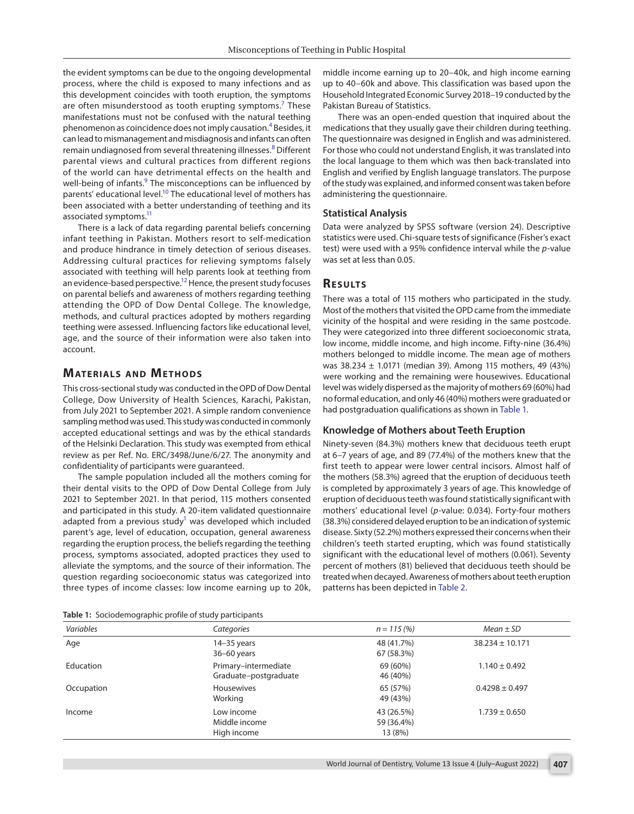the evident symptoms can be due to the ongoing developmental process, where the child is exposed to many infections and as this development coincides with tooth eruption, the symptoms are often misunderstood as tooth erupting symptoms.<sup>[7](#page-4-6)</sup> These manifestations must not be confused with the natural teething phenomenon as coincidence does not imply causation.<sup>[4](#page-4-5)</sup> Besides, it can lead to mismanagement and misdiagnosis and infants can often remain undiagnosed from several threatening illnesses.<sup>[8](#page-4-7)</sup> Different parental views and cultural practices from different regions of the world can have detrimental effects on the health and well-being of infants.<sup>9</sup> The misconceptions can be influenced by parents' educational level.<sup>10</sup> The educational level of mothers has been associated with a better understanding of teething and its associated symptoms.<sup>11</sup>

There is a lack of data regarding parental beliefs concerning infant teething in Pakistan. Mothers resort to self-medication and produce hindrance in timely detection of serious diseases. Addressing cultural practices for relieving symptoms falsely associated with teething will help parents look at teething from an evidence-based perspective.<sup>12</sup> Hence, the present study focuses on parental beliefs and awareness of mothers regarding teething attending the OPD of Dow Dental College. The knowledge, methods, and cultural practices adopted by mothers regarding teething were assessed. Influencing factors like educational level, age, and the source of their information were also taken into account.

# **MATERIALS AND METHODS**

This cross-sectional study was conducted in the OPD of Dow Dental College, Dow University of Health Sciences, Karachi, Pakistan, from July 2021 to September 2021. A simple random convenience sampling method was used. This study was conducted in commonly accepted educational settings and was by the ethical standards of the Helsinki Declaration. This study was exempted from ethical review as per Ref. No. ERC/3498/June/6/27. The anonymity and confidentiality of participants were guaranteed.

The sample population included all the mothers coming for their dental visits to the OPD of Dow Dental College from July 2021 to September 2021. In that period, 115 mothers consented and participated in this study. A 20-item validated questionnaire adapted from a previous study<sup>1</sup> was developed which included parent's age, level of education, occupation, general awareness regarding the eruption process, the beliefs regarding the teething process, symptoms associated, adopted practices they used to alleviate the symptoms, and the source of their information. The question regarding socioeconomic status was categorized into three types of income classes: low income earning up to 20k,

<span id="page-1-0"></span>**[Table 1:](#page-1-1)** Sociodemographic profile of study participants

middle income earning up to 20–40k, and high income earning up to 40–60k and above. This classification was based upon the Household Integrated Economic Survey 2018–19 conducted by the Pakistan Bureau of Statistics.

<span id="page-1-4"></span><span id="page-1-3"></span>There was an open-ended question that inquired about the medications that they usually gave their children during teething. The questionnaire was designed in English and was administered. For those who could not understand English, it was translated into the local language to them which was then back-translated into English and verified by English language translators. The purpose of the study was explained, and informed consent was taken before administering the questionnaire.

#### <span id="page-1-6"></span><span id="page-1-5"></span>**Statistical Analysis**

<span id="page-1-7"></span>Data were analyzed by SPSS software (version 24). Descriptive statistics were used. Chi-square tests of significance (Fisher's exact test) were used with a 95% confidence interval while the *p*-value was set at less than 0.05.

#### <span id="page-1-8"></span>**RESULTS**

There was a total of 115 mothers who participated in the study. Most of the mothers that visited the OPD came from the immediate vicinity of the hospital and were residing in the same postcode. They were categorized into three different socioeconomic strata, low income, middle income, and high income. Fifty-nine (36.4%) mothers belonged to middle income. The mean age of mothers was 38.234 ± 1.0171 (median 39). Among 115 mothers, 49 (43%) were working and the remaining were housewives. Educational level was widely dispersed as the majority of mothers 69 (60%) had no formal education, and only 46 (40%) mothers were graduated or had postgraduation qualifications as shown in [Table 1.](#page-1-0)

#### <span id="page-1-1"></span>**Knowledge of Mothers about Teeth Eruption**

<span id="page-1-2"></span>Ninety-seven (84.3%) mothers knew that deciduous teeth erupt at 6–7 years of age, and 89 (77.4%) of the mothers knew that the first teeth to appear were lower central incisors. Almost half of the mothers (58.3%) agreed that the eruption of deciduous teeth is completed by approximately 3 years of age. This knowledge of eruption of deciduous teeth was found statistically significant with mothers' educational level (*p*-value: 0.034). Forty-four mothers (38.3%) considered delayed eruption to be an indication of systemic disease. Sixty (52.2%) mothers expressed their concerns when their children's teeth started erupting, which was found statistically significant with the educational level of mothers (0.061). Seventy percent of mothers (81) believed that deciduous teeth should be treated when decayed. Awareness of mothers about teeth eruption patterns has been depicted in [Table 2.](#page-2-0)

| Variables  | Categories                                    | $n = 115(%)$                        | $Mean \pm SD$       |
|------------|-----------------------------------------------|-------------------------------------|---------------------|
| Age        | $14-35$ years<br>36-60 years                  | 48 (41.7%)<br>67 (58.3%)            | $38.234 \pm 10.171$ |
| Education  | Primary-intermediate<br>Graduate-postgraduate | 69 (60%)<br>46 (40%)                | $1.140 \pm 0.492$   |
| Occupation | <b>Housewives</b><br>Working                  | 65 (57%)<br>49 (43%)                | $0.4298 \pm 0.497$  |
| Income     | Low income<br>Middle income<br>High income    | 43 (26.5%)<br>59 (36.4%)<br>13 (8%) | $1.739 \pm 0.650$   |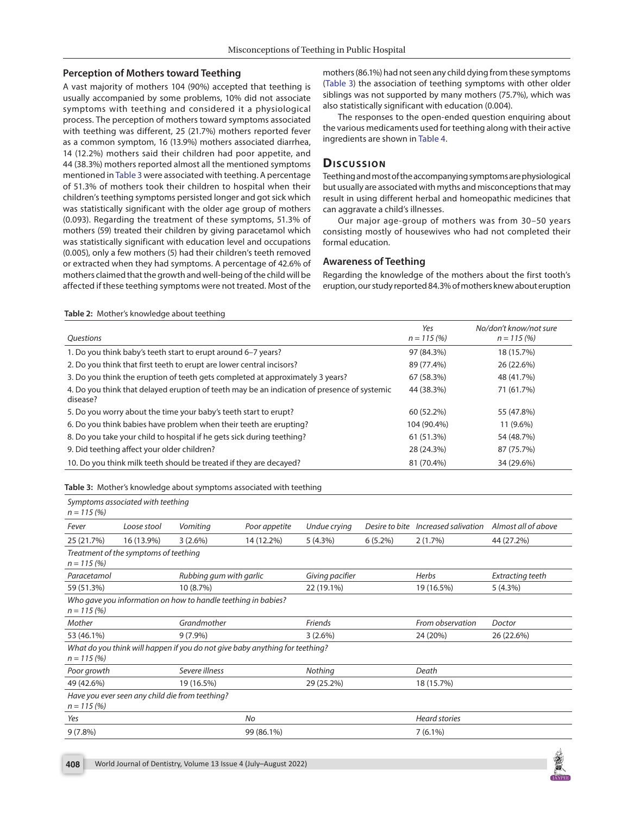## **Perception of Mothers toward Teething**

<span id="page-2-0"></span>**[Table 2:](#page-1-2)** Mother's knowledge about teething

<span id="page-2-2"></span>A vast majority of mothers 104 (90%) accepted that teething is usually accompanied by some problems, 10% did not associate symptoms with teething and considered it a physiological process. The perception of mothers toward symptoms associated with teething was different, 25 (21.7%) mothers reported fever as a common symptom, 16 (13.9%) mothers associated diarrhea, 14 (12.2%) mothers said their children had poor appetite, and 44 (38.3%) mothers reported almost all the mentioned symptoms mentioned in [Table 3](#page-2-1) were associated with teething. A percentage of 51.3% of mothers took their children to hospital when their children's teething symptoms persisted longer and got sick which was statistically significant with the older age group of mothers (0.093). Regarding the treatment of these symptoms, 51.3% of mothers (59) treated their children by giving paracetamol which was statistically significant with education level and occupations (0.005), only a few mothers (5) had their children's teeth removed or extracted when they had symptoms. A percentage of 42.6% of mothers claimed that the growth and well-being of the child will be affected if these teething symptoms were not treated. Most of the

mothers (86.1%) had not seen any child dying from these symptoms [\(Table 3\)](#page-2-1) the association of teething symptoms with other older siblings was not supported by many mothers (75.7%), which was also statistically significant with education (0.004).

<span id="page-2-3"></span>The responses to the open-ended question enquiring about the various medicaments used for teething along with their active ingredients are shown in [Table 4](#page-3-0).

# **Discussion**

Teething and most of the accompanying symptoms are physiological but usually are associated with myths and misconceptions that may result in using different herbal and homeopathic medicines that can aggravate a child's illnesses.

Our major age-group of mothers was from 30–50 years consisting mostly of housewives who had not completed their formal education.

### **Awareness of Teething**

Regarding the knowledge of the mothers about the first tooth's eruption, our study reported 84.3% of mothers knew about eruption

| <i><u><b>Ouestions</b></u></i>                                                                          | Yes<br>$n = 115(%)$ | No/don't know/not sure<br>$n = 115(%)$ |
|---------------------------------------------------------------------------------------------------------|---------------------|----------------------------------------|
| 1. Do you think baby's teeth start to erupt around 6-7 years?                                           | 97 (84.3%)          | 18 (15.7%)                             |
| 2. Do you think that first teeth to erupt are lower central incisors?                                   | 89 (77.4%)          | 26 (22.6%)                             |
| 3. Do you think the eruption of teeth gets completed at approximately 3 years?                          | 67 (58.3%)          | 48 (41.7%)                             |
| 4. Do you think that delayed eruption of teeth may be an indication of presence of systemic<br>disease? | 44 (38.3%)          | 71 (61.7%)                             |
| 5. Do you worry about the time your baby's teeth start to erupt?                                        | 60 (52.2%)          | 55 (47.8%)                             |
| 6. Do you think babies have problem when their teeth are erupting?                                      | 104 (90.4%)         | 11 (9.6%)                              |
| 8. Do you take your child to hospital if he gets sick during teething?                                  | 61 (51.3%)          | 54 (48.7%)                             |
| 9. Did teething affect your older children?                                                             | 28 (24.3%)          | 87 (75.7%)                             |
| 10. Do you think milk teeth should be treated if they are decayed?                                      | 81 (70.4%)          | 34 (29.6%)                             |

<span id="page-2-1"></span>**[Table 3:](#page-2-2)** Mother's knowledge about symptoms associated with teething

| $n = 115(%)$ | Symptoms associated with teething     |                                                                              |               |                 |                |                      |                     |
|--------------|---------------------------------------|------------------------------------------------------------------------------|---------------|-----------------|----------------|----------------------|---------------------|
| Fever        | Loose stool                           | Vomiting                                                                     | Poor appetite | Undue crying    | Desire to bite | Increased salivation | Almost all of above |
| 25 (21.7%)   | 16 (13.9%)                            | $3(2.6\%)$                                                                   | 14 (12.2%)    | 5(4.3%)         | $6(5.2\%)$     | 2(1.7%)              | 44 (27.2%)          |
| $n = 115(%)$ | Treatment of the symptoms of teething |                                                                              |               |                 |                |                      |                     |
| Paracetamol  |                                       | Rubbing gum with garlic                                                      |               | Giving pacifier |                | Herbs                | Extracting teeth    |
| 59 (51.3%)   |                                       | 10 (8.7%)                                                                    |               | 22 (19.1%)      |                | 19 (16.5%)           | 5(4.3%)             |
| $n = 115(%)$ |                                       | Who gave you information on how to handle teething in babies?                |               |                 |                |                      |                     |
| Mother       |                                       | Grandmother                                                                  |               | Friends         |                | From observation     | Doctor              |
| 53 (46.1%)   |                                       | $9(7.9\%)$                                                                   |               | 3(2.6%)         |                | 24 (20%)             | 26 (22.6%)          |
| $n = 115(%)$ |                                       | What do you think will happen if you do not give baby anything for teething? |               |                 |                |                      |                     |
| Poor growth  |                                       | Severe illness                                                               |               | Nothing         |                | Death                |                     |
| 49 (42.6%)   |                                       | 19 (16.5%)                                                                   |               | 29 (25.2%)      |                | 18 (15.7%)           |                     |
| $n = 115(%)$ |                                       | Have you ever seen any child die from teething?                              |               |                 |                |                      |                     |
| Yes          |                                       | No                                                                           |               |                 |                | <b>Heard stories</b> |                     |
| $9(7.8\%)$   |                                       | 99 (86.1%)                                                                   |               |                 |                | $7(6.1\%)$           |                     |
|              |                                       |                                                                              |               |                 |                |                      |                     |

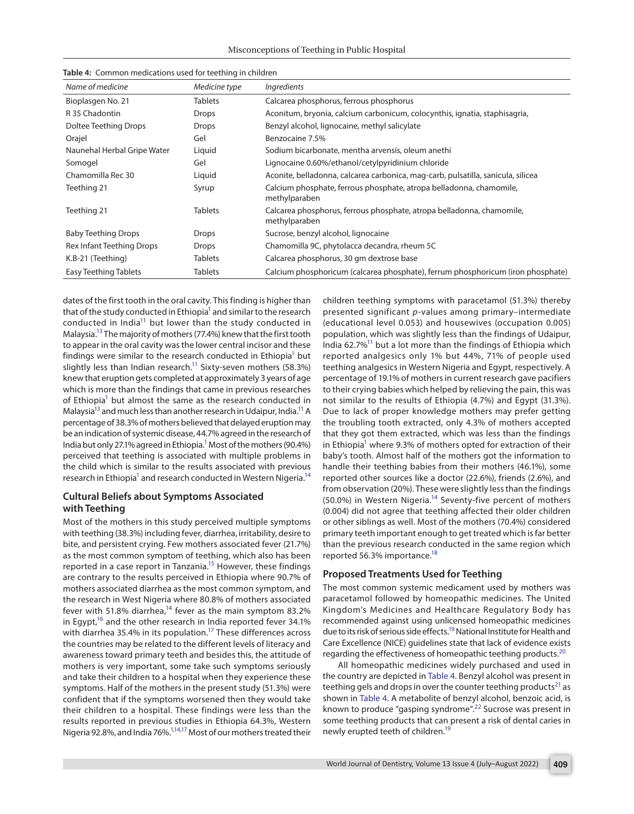Misconceptions of Teething in Public Hospital

| Name of medicine            | Medicine type  | Ingredients                                                                            |
|-----------------------------|----------------|----------------------------------------------------------------------------------------|
| Bioplasgen No. 21           | <b>Tablets</b> | Calcarea phosphorus, ferrous phosphorus                                                |
| R 35 Chadontin              | <b>Drops</b>   | Aconitum, bryonia, calcium carbonicum, colocynthis, ignatia, staphisagria,             |
| Doltee Teething Drops       | <b>Drops</b>   | Benzyl alcohol, lignocaine, methyl salicylate                                          |
| Orajel                      | Gel            | Benzocaine 7.5%                                                                        |
| Naunehal Herbal Gripe Water | Liquid         | Sodium bicarbonate, mentha arvensis, oleum anethi                                      |
| Somogel                     | Gel            | Lignocaine 0.60%/ethanol/cetylpyridinium chloride                                      |
| Chamomilla Rec 30           | Liquid         | Aconite, belladonna, calcarea carbonica, mag-carb, pulsatilla, sanicula, silicea       |
| Teething 21                 | Syrup          | Calcium phosphate, ferrous phosphate, atropa belladonna, chamomile,<br>methylparaben   |
| Teething 21                 | <b>Tablets</b> | Calcarea phosphorus, ferrous phosphate, atropa belladonna, chamomile,<br>methylparaben |
| <b>Baby Teething Drops</b>  | Drops          | Sucrose, benzyl alcohol, lignocaine                                                    |
| Rex Infant Teething Drops   | <b>Drops</b>   | Chamomilla 9C, phytolacca decandra, rheum 5C                                           |
| K.B-21 (Teething)           | <b>Tablets</b> | Calcarea phosphorus, 30 qm dextrose base                                               |
| Easy Teething Tablets       | <b>Tablets</b> | Calcium phosphoricum (calcarea phosphate), ferrum phosphoricum (iron phosphate)        |

<span id="page-3-0"></span>

|  |  | Table 4: Common medications used for teething in children |  |  |  |
|--|--|-----------------------------------------------------------|--|--|--|
|--|--|-----------------------------------------------------------|--|--|--|

<span id="page-3-1"></span>dates of the first tooth in the oral cavity. This finding is higher than that of the study conducted in Ethiopia<sup>1</sup> and similar to the research conducted in India<sup>11</sup> but lower than the study conducted in Malaysia[.13](#page-5-6) The majority of mothers (77.4%) knew that the first tooth to appear in the oral cavity was the lower central incisor and these findings were similar to the research conducted in Ethiopia<sup>1</sup> but slightly less than Indian research.<sup>11</sup> Sixty-seven mothers (58.3%) knew that eruption gets completed at approximately 3 years of age which is more than the findings that came in previous researches of Ethiopia<sup>1</sup> but almost the same as the research conducted in Malaysia<sup>13</sup> and much less than another research in Udaipur, India.<sup>11</sup> A percentage of 38.3% of mothers believed that delayed eruption may be an indication of systemic disease, 44.7% agreed in the research of India but only 27[.1](#page-4-2)% agreed in Ethiopia.<sup>1</sup> Most of the mothers (90.4%) perceived that teething is associated with multiple problems in the child which is similar to the results associated with previous research in Ethiopia<sup>1</sup> and research conducted in Western Nigeria.<sup>14</sup>

## **Cultural Beliefs about Symptoms Associated with Teething**

<span id="page-3-4"></span>Most of the mothers in this study perceived multiple symptoms with teething (38.3%) including fever, diarrhea, irritability, desire to bite, and persistent crying. Few mothers associated fever (21.7%) as the most common symptom of teething, which also has been reported in a case report in Tanzania.<sup>15</sup> However, these findings are contrary to the results perceived in Ethiopia where 90.7% of mothers associated diarrhea as the most common symptom, and the research in West Nigeria where 80.8% of mothers associated fever with 51.8% diarrhea,<sup>14</sup> fever as the main symptom 83.2% in Egypt,<sup>16</sup> and the other research in India reported fever 34.1% with diarrhea 35.4% in its population.<sup>17</sup> These differences across the countries may be related to the different levels of literacy and awareness toward primary teeth and besides this, the attitude of mothers is very important, some take such symptoms seriously and take their children to a hospital when they experience these symptoms. Half of the mothers in the present study (51.3%) were confident that if the symptoms worsened then they would take their children to a hospital. These findings were less than the results reported in previous studies in Ethiopia 64.3%, Western Nigeria 92.8%, and India 76%[.1](#page-4-2)[,14](#page-5-0)[,17](#page-5-9) Most of our mothers treated their children teething symptoms with paracetamol (51.3%) thereby presented significant *p*-values among primary–intermediate (educational level 0.053) and housewives (occupation 0.005) population, which was slightly less than the findings of Udaipur, India 62.7%<sup>11</sup> but a lot more than the findings of Ethiopia which reported analgesics only 1% but 44%, 71% of people used teething analgesics in Western Nigeria and Egypt, respectively. A percentage of 19.1% of mothers in current research gave pacifiers to their crying babies which helped by relieving the pain, this was not similar to the results of Ethiopia (4.7%) and Egypt (31.3%). Due to lack of proper knowledge mothers may prefer getting the troubling tooth extracted, only 4.3% of mothers accepted that they got them extracted, which was less than the findings in Ethiopia<sup>1</sup> where 9.3% of mothers opted for extraction of their baby's tooth. Almost half of the mothers got the information to handle their teething babies from their mothers (46.1%), some reported other sources like a doctor (22.6%), friends (2.6%), and from observation (20%). These were slightly less than the findings (50.0%) in Western Nigeria.<sup>14</sup> Seventy-five percent of mothers (0.004) did not agree that teething affected their older children or other siblings as well. Most of the mothers (70.4%) considered primary teeth important enough to get treated which is far better than the previous research conducted in the same region which reported 56.3% importance[.18](#page-5-1)

## <span id="page-3-6"></span><span id="page-3-3"></span><span id="page-3-2"></span>**Proposed Treatments Used for Teething**

The most common systemic medicament used by mothers was paracetamol followed by homeopathic medicines. The United Kingdom's Medicines and Healthcare Regulatory Body has recommended against using unlicensed homeopathic medicines due to its risk of serious side effects.<sup>19</sup> National Institute for Health and Care Excellence (NICE) guidelines state that lack of evidence exists regarding the effectiveness of homeopathic teething products.<sup>[20](#page-5-3)</sup>

<span id="page-3-10"></span><span id="page-3-9"></span><span id="page-3-8"></span><span id="page-3-7"></span><span id="page-3-5"></span>All homeopathic medicines widely purchased and used in the country are depicted in [Table 4.](#page-3-0) Benzyl alcohol was present in teething gels and drops in over the counter teething products<sup>[21](#page-5-4)</sup> as shown in [Table 4](#page-3-0). A metabolite of benzyl alcohol, benzoic acid, is known to produce "gasping syndrome".<sup>22</sup> Sucrose was present in some teething products that can present a risk of dental caries in newly erupted teeth of children[.19](#page-5-2)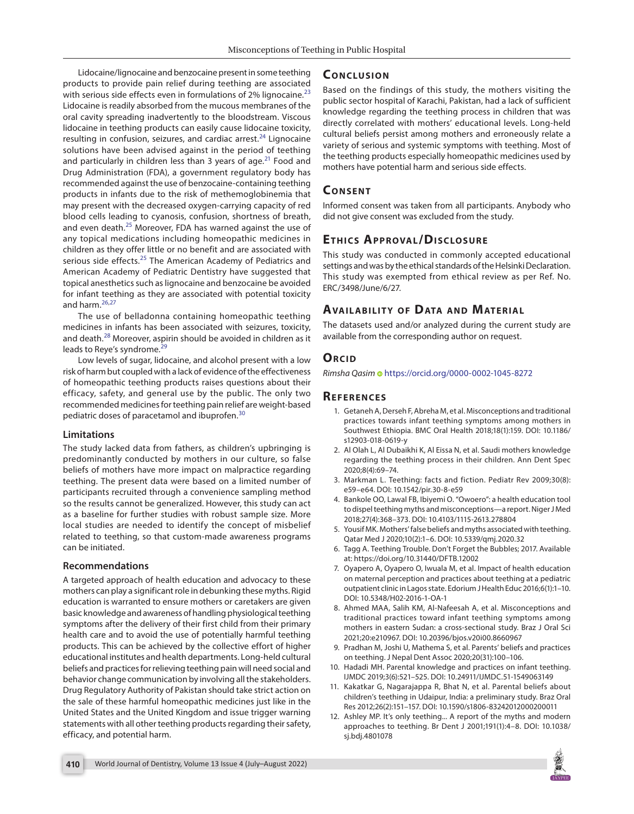Lidocaine/lignocaine and benzocaine present in some teething products to provide pain relief during teething are associated with serious side effects even in formulations of 2% lignocaine.<sup>[23](#page-5-10)</sup> Lidocaine is readily absorbed from the mucous membranes of the oral cavity spreading inadvertently to the bloodstream. Viscous lidocaine in teething products can easily cause lidocaine toxicity, resulting in confusion, seizures, and cardiac arrest.<sup>24</sup> Lignocaine solutions have been advised against in the period of teething and particularly in children less than 3 years of age.<sup>21</sup> Food and Drug Administration (FDA), a government regulatory body has recommended against the use of benzocaine-containing teething products in infants due to the risk of methemoglobinemia that may present with the decreased oxygen-carrying capacity of red blood cells leading to cyanosis, confusion, shortness of breath, and even death. $25$  Moreover, FDA has warned against the use of any topical medications including homeopathic medicines in children as they offer little or no benefit and are associated with serious side effects.<sup>25</sup> The American Academy of Pediatrics and American Academy of Pediatric Dentistry have suggested that topical anesthetics such as lignocaine and benzocaine be avoided for infant teething as they are associated with potential toxicity and harm. $26,27$  $26,27$  $26,27$ 

<span id="page-4-16"></span><span id="page-4-15"></span><span id="page-4-14"></span>The use of belladonna containing homeopathic teething medicines in infants has been associated with seizures, toxicity, and death.<sup>28</sup> Moreover, aspirin should be avoided in children as it leads to Reye's syndrome.<sup>[29](#page-5-16)</sup>

Low levels of sugar, lidocaine, and alcohol present with a low risk of harm but coupled with a lack of evidence of the effectiveness of homeopathic teething products raises questions about their efficacy, safety, and general use by the public. The only two recommended medicines for teething pain relief are weight-based pediatric doses of paracetamol and ibuprofen.[30](#page-5-17)

#### **Limitations**

The study lacked data from fathers, as children's upbringing is predominantly conducted by mothers in our culture, so false beliefs of mothers have more impact on malpractice regarding teething. The present data were based on a limited number of participants recruited through a convenience sampling method so the results cannot be generalized. However, this study can act as a baseline for further studies with robust sample size. More local studies are needed to identify the concept of misbelief related to teething, so that custom-made awareness programs can be initiated.

#### **Recommendations**

A targeted approach of health education and advocacy to these mothers can play a significant role in debunking these myths. Rigid education is warranted to ensure mothers or caretakers are given basic knowledge and awareness of handling physiological teething symptoms after the delivery of their first child from their primary health care and to avoid the use of potentially harmful teething products. This can be achieved by the collective effort of higher educational institutes and health departments. Long-held cultural beliefs and practices for relieving teething pain will need social and behavior change communication by involving all the stakeholders. Drug Regulatory Authority of Pakistan should take strict action on the sale of these harmful homeopathic medicines just like in the United States and the United Kingdom and issue trigger warning statements with all other teething products regarding their safety, efficacy, and potential harm.

## **CONCLUSION**

<span id="page-4-19"></span><span id="page-4-12"></span>Based on the findings of this study, the mothers visiting the public sector hospital of Karachi, Pakistan, had a lack of sufficient knowledge regarding the teething process in children that was directly correlated with mothers' educational levels. Long-held cultural beliefs persist among mothers and erroneously relate a variety of serious and systemic symptoms with teething. Most of the teething products especially homeopathic medicines used by mothers have potential harm and serious side effects.

#### **CONSENT**

Informed consent was taken from all participants. Anybody who did not give consent was excluded from the study.

## <span id="page-4-13"></span>**ETHICS APPROVAL/DISCLOSURE**

This study was conducted in commonly accepted educational settings and was by the ethical standards of the Helsinki Declaration. This study was exempted from ethical review as per Ref. No. ERC/3498/June/6/27.

# **AVAILABILITY OF DATA AND MATERIAL**

The datasets used and/or analyzed during the current study are available from the corresponding author on request.

## <span id="page-4-17"></span>**ORCID**

*Rimsha Qasim* <https://orcid.org/0000-0002-1045-8272>

#### **Re f e r e n c e s**

- <span id="page-4-18"></span><span id="page-4-2"></span>[1.](#page-0-0) Getaneh A, Derseh F, Abreha M, et al. Misconceptions and traditional practices towards infant teething symptoms among mothers in Southwest Ethiopia. BMC Oral Health 2018;18(1):159. DOI: [10.1186/](https://doi.org/10.1186/s12903-018-0619-y) [s12903-018-0619-y](https://doi.org/10.1186/s12903-018-0619-y)
- <span id="page-4-3"></span>[2.](#page-0-1) Al Olah L, Al Dubaikhi K, Al Eissa N, et al. Saudi mothers knowledge regarding the teething process in their children. Ann Dent Spec 2020;8(4):69–74.
- <span id="page-4-4"></span>[3.](#page-0-2) Markman L. Teething: facts and fiction. Pediatr Rev 2009;30(8): e59–e64. DOI: [10.1542/pir.30-8-e59](https://doi.org/10.1542/pir.30-8-e59)
- <span id="page-4-5"></span>[4.](#page-0-3) Bankole OO, Lawal FB, Ibiyemi O. "Owoero": a health education tool to dispel teething myths and misconceptions—a report. Niger J Med 2018;27(4):368–373. DOI: [10.4103/1115-2613.278804](https://doi.org/10.4103/1115-2613.278804)
- <span id="page-4-1"></span>[5.](#page-0-4) Yousif MK. Mothers' false beliefs and myths associated with teething. Qatar Med J 2020;10(2):1–6. DOI: [10.5339/qmj.2020.32](https://doi.org/10.5339/qmj.2020.32)
- <span id="page-4-0"></span>[6.](#page-0-5) Tagg A. Teething Trouble. Don't Forget the Bubbles; 2017. Available at:<https://doi.org/10.31440/DFTB.12002>
- <span id="page-4-6"></span>[7.](#page-1-3) Oyapero A, Oyapero O, Iwuala M, et al. Impact of health education on maternal perception and practices about teething at a pediatric outpatient clinic in Lagos state. Edorium J Health Educ 2016;6(1):1–10. DOI: [10.5348/H02-2016-1-OA-1](https://doi.org/10.5348/H02-2016-1-OA-1)
- <span id="page-4-7"></span>[8.](#page-1-4) Ahmed MAA, Salih KM, Al-Nafeesah A, et al. Misconceptions and traditional practices toward infant teething symptoms among mothers in eastern Sudan: a cross-sectional study. Braz J Oral Sci 2021;20:e210967. DOI: [10.20396/bjos.v20i00.8660967](https://doi.org/10.20396/bjos.v20i00.8660967)
- <span id="page-4-8"></span>[9.](#page-1-5) Pradhan M, Joshi U, Mathema S, et al. Parents' beliefs and practices on teething. J Nepal Dent Assoc 2020;20(31):100–106.
- <span id="page-4-9"></span>[10.](#page-1-6) Hadadi MH. Parental knowledge and practices on infant teething. IJMDC 2019;3(6):521–525. DOI: [10.24911/IJMDC.51-1549063149](https://doi.org/10.24911/IJMDC.51-1549063149)
- <span id="page-4-10"></span>[11.](#page-1-7) Kakatkar G, Nagarajappa R, Bhat N, et al. Parental beliefs about children's teething in Udaipur, India: a preliminary study. Braz Oral Res 2012;26(2):151–157. DOI: [10.1590/s1806-83242012000200011](https://doi.org/10.1590/s1806-83242012000200011)
- <span id="page-4-11"></span>[12.](#page-1-8) Ashley MP. It's only teething... A report of the myths and modern approaches to teething. Br Dent J 2001;191(1):4–8. DOI: [10.1038/](https://doi.org/10.1038/sj.bdj.4801078) [sj.bdj.4801078](https://doi.org/10.1038/sj.bdj.4801078)